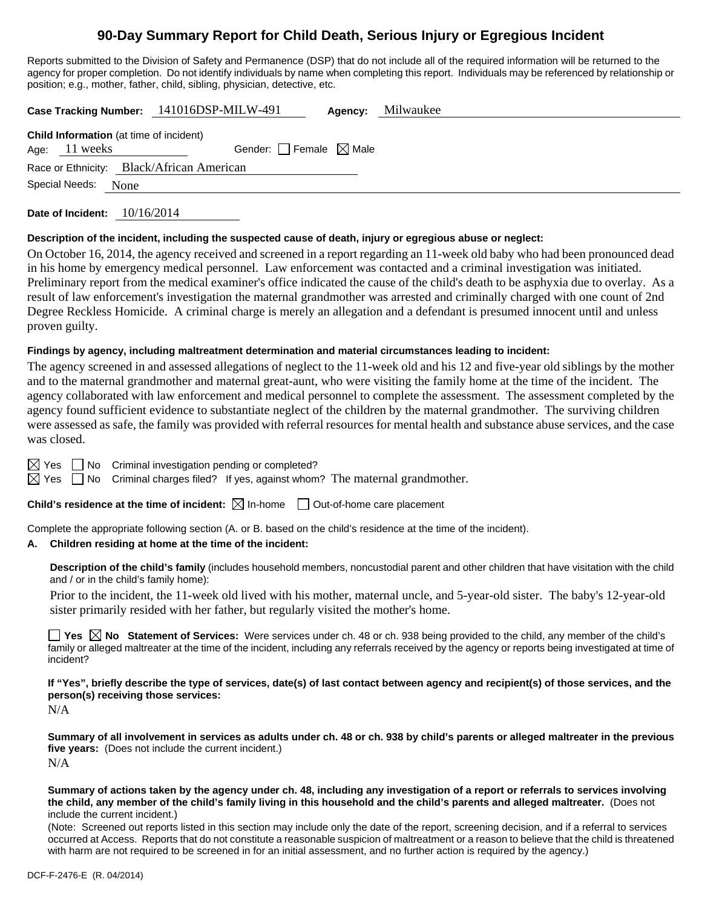# **90-Day Summary Report for Child Death, Serious Injury or Egregious Incident**

Reports submitted to the Division of Safety and Permanence (DSP) that do not include all of the required information will be returned to the agency for proper completion. Do not identify individuals by name when completing this report. Individuals may be referenced by relationship or position; e.g., mother, father, child, sibling, physician, detective, etc.

|                                                                     |                                                                 | Case Tracking Number: 141016DSP-MILW-491 | Agency: | Milwaukee |  |  |  |  |
|---------------------------------------------------------------------|-----------------------------------------------------------------|------------------------------------------|---------|-----------|--|--|--|--|
|                                                                     | <b>Child Information</b> (at time of incident)<br>Age: 11 weeks | Gender: Female $\boxtimes$ Male          |         |           |  |  |  |  |
| Race or Ethnicity: Black/African American<br>Special Needs:<br>None |                                                                 |                                          |         |           |  |  |  |  |
|                                                                     |                                                                 |                                          |         |           |  |  |  |  |

**Date of Incident:** 10/16/2014

#### **Description of the incident, including the suspected cause of death, injury or egregious abuse or neglect:**

On October 16, 2014, the agency received and screened in a report regarding an 11-week old baby who had been pronounced dead in his home by emergency medical personnel. Law enforcement was contacted and a criminal investigation was initiated. Preliminary report from the medical examiner's office indicated the cause of the child's death to be asphyxia due to overlay. As a result of law enforcement's investigation the maternal grandmother was arrested and criminally charged with one count of 2nd Degree Reckless Homicide. A criminal charge is merely an allegation and a defendant is presumed innocent until and unless proven guilty.

#### **Findings by agency, including maltreatment determination and material circumstances leading to incident:**

The agency screened in and assessed allegations of neglect to the 11-week old and his 12 and five-year old siblings by the mother and to the maternal grandmother and maternal great-aunt, who were visiting the family home at the time of the incident. The agency collaborated with law enforcement and medical personnel to complete the assessment. The assessment completed by the agency found sufficient evidence to substantiate neglect of the children by the maternal grandmother. The surviving children were assessed as safe, the family was provided with referral resources for mental health and substance abuse services, and the case was closed.

 $\boxtimes$  Yes  $\Box$  No Criminal investigation pending or completed?

 $\boxtimes$  Yes  $\Box$  No Criminal charges filed? If yes, against whom? The maternal grandmother.

**Child's residence at the time of incident:**  $\boxtimes$  In-home  $\Box$  Out-of-home care placement

Complete the appropriate following section (A. or B. based on the child's residence at the time of the incident).

#### **A. Children residing at home at the time of the incident:**

**Description of the child's family** (includes household members, noncustodial parent and other children that have visitation with the child and / or in the child's family home):

 Prior to the incident, the 11-week old lived with his mother, maternal uncle, and 5-year-old sister. The baby's 12-year-old sister primarily resided with her father, but regularly visited the mother's home.

**Yes No Statement of Services:** Were services under ch. 48 or ch. 938 being provided to the child, any member of the child's family or alleged maltreater at the time of the incident, including any referrals received by the agency or reports being investigated at time of incident?

**If "Yes", briefly describe the type of services, date(s) of last contact between agency and recipient(s) of those services, and the person(s) receiving those services:** 

N/A

**Summary of all involvement in services as adults under ch. 48 or ch. 938 by child's parents or alleged maltreater in the previous five years:** (Does not include the current incident.) N/A

**Summary of actions taken by the agency under ch. 48, including any investigation of a report or referrals to services involving the child, any member of the child's family living in this household and the child's parents and alleged maltreater.** (Does not include the current incident.)

(Note: Screened out reports listed in this section may include only the date of the report, screening decision, and if a referral to services occurred at Access. Reports that do not constitute a reasonable suspicion of maltreatment or a reason to believe that the child is threatened with harm are not required to be screened in for an initial assessment, and no further action is required by the agency.)